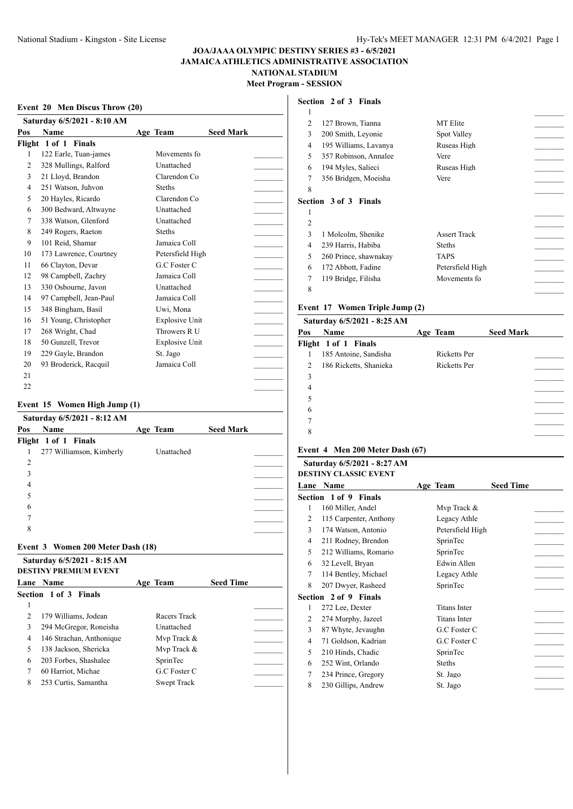#### **Event 20 Men Discus Throw (20)**

|     | Saturday 6/5/2021 - 8:10 AM |                       |                  |  |
|-----|-----------------------------|-----------------------|------------------|--|
| Pos | <b>Name</b>                 | Age Team              | <b>Seed Mark</b> |  |
|     | Flight 1 of 1 Finals        |                       |                  |  |
| 1   | 122 Earle, Tuan-james       | Movements fo          |                  |  |
| 2   | 328 Mullings, Ralford       | Unattached            |                  |  |
| 3   | 21 Lloyd, Brandon           | Clarendon Co          |                  |  |
| 4   | 251 Watson, Juhvon          | <b>Steths</b>         |                  |  |
| 5   | 20 Hayles, Ricardo          | Clarendon Co          |                  |  |
| 6   | 300 Bedward, Altwayne       | Unattached            |                  |  |
| 7   | 338 Watson, Glenford        | Unattached            |                  |  |
| 8   | 249 Rogers, Raeton          | <b>Steths</b>         |                  |  |
| 9   | 101 Reid, Shamar            | Jamaica Coll          |                  |  |
| 10  | 173 Lawrence, Courtney      | Petersfield High      |                  |  |
| 11  | 66 Clayton, Devar           | G.C Foster C          |                  |  |
| 12  | 98 Campbell, Zachry         | Jamaica Coll          |                  |  |
| 13  | 330 Osbourne, Javon         | Unattached            |                  |  |
| 14  | 97 Campbell, Jean-Paul      | Jamaica Coll          |                  |  |
| 15  | 348 Bingham, Basil          | Uwi, Mona             |                  |  |
| 16  | 51 Young, Christopher       | <b>Explosive Unit</b> |                  |  |
| 17  | 268 Wright, Chad            | Throwers R U          |                  |  |
| 18  | 50 Gunzell, Trevor          | <b>Explosive Unit</b> |                  |  |
| 19  | 229 Gayle, Brandon          | St. Jago              |                  |  |
| 20  | 93 Broderick, Racquil       | Jamaica Coll          |                  |  |
| 21  |                             |                       |                  |  |
| 22  |                             |                       |                  |  |

#### **Event 15 Women High Jump (1)**

|                |                      | Saturday 6/5/2021 - 8:12 AM       |            |                  |  |
|----------------|----------------------|-----------------------------------|------------|------------------|--|
| Pos            | <b>Name</b>          |                                   | Age Team   | <b>Seed Mark</b> |  |
|                | Flight 1 of 1 Finals |                                   |            |                  |  |
|                |                      | 277 Williamson, Kimberly          | Unattached |                  |  |
| $\overline{c}$ |                      |                                   |            |                  |  |
| 3              |                      |                                   |            |                  |  |
| 4              |                      |                                   |            |                  |  |
| 5              |                      |                                   |            |                  |  |
| 6              |                      |                                   |            |                  |  |
|                |                      |                                   |            |                  |  |
| 8              |                      |                                   |            |                  |  |
|                |                      | Event 3 Women 200 Meter Dash (18) |            |                  |  |

### **Saturday 6/5/2021 - 8:15 AM DESTINY PREMIUM EVENT Lane Name Age Team Seed Time Section 1 of 3 Finals**  $\Box$ 2 179 Williams, Jodean Racers Track 294 McGregor, Roneisha Unattached \_\_\_\_\_\_\_\_\_ 146 Strachan, Anthonique Mvp Track & \_\_\_\_\_\_\_\_\_ 5 138 Jackson, Shericka Mvp Track & 203 Forbes, Shashalee SprinTec \_\_\_\_\_\_\_\_\_ 7 60 Harriot, Michae G.C Foster C 8 253 Curtis, Samantha Swept Track

#### **Section 2 of 3 Finals**

| 1 |                              |                     |  |
|---|------------------------------|---------------------|--|
| 2 | 127 Brown, Tianna            | MT Elite            |  |
| 3 | 200 Smith, Leyonie           | Spot Valley         |  |
| 4 | 195 Williams, Lavanya        | Ruseas High         |  |
| 5 | 357 Robinson, Annalee        | Vere                |  |
| 6 | 194 Myles, Salieci           | Ruseas High         |  |
| 7 | 356 Bridgen, Moeisha         | Vere                |  |
| 8 |                              |                     |  |
|   |                              |                     |  |
|   | <b>Section 3 of 3 Finals</b> |                     |  |
| 1 |                              |                     |  |
| 2 |                              |                     |  |
| 3 | 1 Molcolm, Shenike           | <b>Assert Track</b> |  |
| 4 | 239 Harris, Habiba           | <b>Steths</b>       |  |
| 5 | 260 Prince, shawnakay        | TAPS                |  |
| 6 | 172 Abbott, Fadine           | Petersfield High    |  |
| 7 | 119 Bridge, Filisha          | Movements fo        |  |

# **Event 17 Women Triple Jump (2)**

| Saturday 6/5/2021 - 8:25 AM |              |                  |
|-----------------------------|--------------|------------------|
| Name                        | Age Team     | <b>Seed Mark</b> |
| Flight 1 of 1 Finals        |              |                  |
| 185 Antoine, Sandisha       | Ricketts Per |                  |
| 186 Ricketts, Shanieka      | Ricketts Per |                  |
|                             |              |                  |
|                             |              |                  |
|                             |              |                  |
|                             |              |                  |
|                             |              |                  |
|                             |              |                  |
|                             |              |                  |

#### **Event 4 Men 200 Meter Dash (67) Saturday 6/5/2021 - 8:27 AM**

|   | Saturday 6/5/2021 - 8:27 AM  |                     |                  |
|---|------------------------------|---------------------|------------------|
|   | <b>DESTINY CLASSIC EVENT</b> |                     |                  |
|   | <b>Lane Name</b>             | Age Team            | <b>Seed Time</b> |
|   | Section 1 of 9 Finals        |                     |                  |
| 1 | 160 Miller, Andel            | Mvp Track &         |                  |
| 2 | 115 Carpenter, Anthony       | Legacy Athle        |                  |
| 3 | 174 Watson, Antonio          | Petersfield High    |                  |
| 4 | 211 Rodney, Brendon          | SprinTec            |                  |
| 5 | 212 Williams, Romario        | SprinTec            |                  |
| 6 | 32 Levell, Bryan             | Edwin Allen         |                  |
| 7 | 114 Bentley, Michael         | Legacy Athle        |                  |
| 8 | 207 Dwyer, Rasheed           | SprinTec            |                  |
|   | Section 2 of 9 Finals        |                     |                  |
| 1 | 272 Lee, Dexter              | <b>Titans Inter</b> |                  |
| 2 | 274 Murphy, Jazeel           | <b>Titans Inter</b> |                  |
| 3 | 87 Whyte, Jevaughn           | G.C Foster C        |                  |
| 4 | 71 Goldson, Kadrian          | G.C Foster C        |                  |
| 5 | 210 Hinds, Chadic            | SprinTec            |                  |
| 6 | 252 Wint, Orlando            | <b>Steths</b>       |                  |
| 7 | 234 Prince, Gregory          | St. Jago            |                  |
| 8 | 230 Gillips, Andrew          | St. Jago            |                  |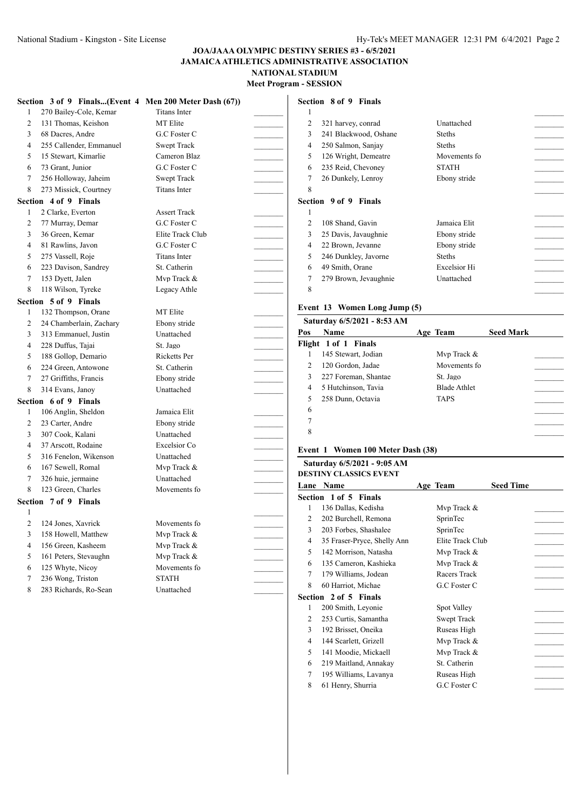|                | Section 3 of 9 Finals(Event 4 Men 200 Meter Dash (67)) |                     |  |
|----------------|--------------------------------------------------------|---------------------|--|
| 1              | 270 Bailey-Cole, Kemar                                 | <b>Titans Inter</b> |  |
| $\overline{2}$ | 131 Thomas, Keishon                                    | <b>MT</b> Elite     |  |
| 3              | 68 Dacres, Andre                                       | G.C Foster C        |  |
| $\overline{4}$ | 255 Callender, Emmanuel                                | <b>Swept Track</b>  |  |
| 5              | 15 Stewart, Kimarlie                                   | Cameron Blaz        |  |
| 6              | 73 Grant, Junior                                       | G.C Foster C        |  |
| 7              | 256 Holloway, Jaheim                                   | <b>Swept Track</b>  |  |
| 8              | 273 Missick, Courtney                                  | <b>Titans Inter</b> |  |
|                | Section 4 of 9 Finals                                  |                     |  |
| 1              | 2 Clarke, Everton                                      | <b>Assert Track</b> |  |
| $\overline{c}$ | 77 Murray, Demar                                       | G.C Foster C        |  |
| 3              | 36 Green, Kemar                                        | Elite Track Club    |  |
| $\overline{4}$ | 81 Rawlins, Javon                                      | G.C Foster C        |  |
| 5              | 275 Vassell, Roje                                      | <b>Titans Inter</b> |  |
| 6              | 223 Davison, Sandrey                                   | St. Catherin        |  |
| $\overline{7}$ | 153 Dyett, Jalen                                       | Mvp Track &         |  |
| 8              | 118 Wilson, Tyreke                                     | Legacy Athle        |  |
|                | Section 5 of 9 Finals                                  |                     |  |
| $\mathbf{1}$   | 132 Thompson, Orane                                    | <b>MT</b> Elite     |  |
| 2              | 24 Chamberlain, Zachary                                | Ebony stride        |  |
| $\overline{3}$ | 313 Emmanuel, Justin                                   | Unattached          |  |
| $\overline{4}$ | 228 Duffus, Tajai                                      | St. Jago            |  |
| 5              | 188 Gollop, Demario                                    | Ricketts Per        |  |
| 6              | 224 Green, Antowone                                    | St. Catherin        |  |
| 7              | 27 Griffiths, Francis                                  | Ebony stride        |  |
| 8              | 314 Evans, Janoy                                       | Unattached          |  |
|                | Section 6 of 9 Finals                                  |                     |  |
| 1              | 106 Anglin, Sheldon                                    | Jamaica Elit        |  |
| $\overline{2}$ | 23 Carter, Andre                                       | Ebony stride        |  |
| 3              | 307 Cook, Kalani                                       | Unattached          |  |
| $\overline{4}$ | 37 Arscott, Rodaine                                    | Excelsior Co        |  |
| 5              | 316 Fenelon, Wikenson                                  | Unattached          |  |
| 6              | 167 Sewell, Romal                                      | Mvp Track &         |  |
| 7              | 326 huie, jermaine                                     | Unattached          |  |
| 8              | 123 Green, Charles                                     | Movements fo        |  |
|                | Section 7 of 9 Finals                                  |                     |  |
| 1              |                                                        |                     |  |
| $\overline{c}$ | 124 Jones, Xavrick                                     | Movements fo        |  |
| 3              | 158 Howell, Matthew                                    | Mvp Track &         |  |
| $\overline{4}$ | 156 Green, Kasheem                                     | Mvp Track &         |  |
| 5              | 161 Peters, Stevaughn                                  | Mvp Track &         |  |
| 6              | 125 Whyte, Nicoy                                       | Movements fo        |  |
| $\tau$         | 236 Wong, Triston                                      | <b>STATH</b>        |  |
| 8              | 283 Richards, Ro-Sean                                  | Unattached          |  |

### **Section 8 of 9 Finals**

| 1 |                       |                     |  |
|---|-----------------------|---------------------|--|
| 2 | 321 harvey, conrad    | Unattached          |  |
| 3 | 241 Blackwood, Oshane | <b>Steths</b>       |  |
| 4 | 250 Salmon, Sanjay    | <b>Steths</b>       |  |
| 5 | 126 Wright, Demeatre  | Movements fo        |  |
| 6 | 235 Reid, Chevoney    | <b>STATH</b>        |  |
| 7 | 26 Dunkely, Lenroy    | Ebony stride        |  |
| 8 |                       |                     |  |
|   | Section 9 of 9 Finals |                     |  |
| 1 |                       |                     |  |
| 2 | 108 Shand, Gavin      | Jamaica Elit        |  |
| 3 | 25 Davis, Javaughnie  | Ebony stride        |  |
| 4 | 22 Brown, Jevanne     | Ebony stride        |  |
| 5 | 246 Dunkley, Javorne  | <b>Steths</b>       |  |
| 6 | 49 Smith, Orane       | <b>Excelsior Hi</b> |  |
| 7 | 279 Brown, Jevaughnie | Unattached          |  |
| 8 |                       |                     |  |
|   |                       |                     |  |

### **Event 13 Women Long Jump (5)**

|               | Saturday 6/5/2021 - 8:53 AM |                     |                  |
|---------------|-----------------------------|---------------------|------------------|
| Pos           | <b>Name</b>                 | Age Team            | <b>Seed Mark</b> |
|               | Flight 1 of 1 Finals        |                     |                  |
|               | 145 Stewart, Jodian         | Mvp Track &         |                  |
| $\mathcal{L}$ | 120 Gordon, Jadae           | Movements fo        |                  |
| $\mathbf{3}$  | 227 Foreman, Shantae        | St. Jago            |                  |
| 4             | 5 Hutchinson, Tavia         | <b>Blade Athlet</b> |                  |
|               | 258 Dunn, Octavia           | <b>TAPS</b>         |                  |
| 6             |                             |                     |                  |
| 7             |                             |                     |                  |
| 8             |                             |                     |                  |
|               |                             |                     |                  |

# **Event 1 Women 100 Meter Dash (38)**

|      | Saturday 6/5/2021 - 9:05 AM<br>DESTINY CLASSICS EVENT |                  |                  |  |
|------|-------------------------------------------------------|------------------|------------------|--|
| Lane | Name                                                  | Age Team         | <b>Seed Time</b> |  |
|      | <b>Section 1 of 5 Finals</b>                          |                  |                  |  |
| 1    | 136 Dallas, Kedisha                                   | Mvp Track &      |                  |  |
| 2    | 202 Burchell, Remona                                  | SprinTec         |                  |  |
| 3    | 203 Forbes, Shashalee                                 | SprinTec         |                  |  |
| 4    | 35 Fraser-Pryce, Shelly Ann                           | Elite Track Club |                  |  |
| 5    | 142 Morrison, Natasha                                 | Mvp Track &      |                  |  |
| 6    | 135 Cameron, Kashieka                                 | Mvp Track &      |                  |  |
| 7    | 179 Williams, Jodean                                  | Racers Track     |                  |  |
| 8    | 60 Harriot, Michae                                    | G.C Foster C     |                  |  |
|      | <b>Section 2 of 5 Finals</b>                          |                  |                  |  |
| 1    | 200 Smith, Leyonie                                    | Spot Valley      |                  |  |
| 2    | 253 Curtis, Samantha                                  | Swept Track      |                  |  |
| 3    | 192 Brisset, Oneika                                   | Ruseas High      |                  |  |
| 4    | 144 Scarlett, Grizell                                 | Mvp Track &      |                  |  |
| 5    | 141 Moodie, Mickaell                                  | Mvp Track &      |                  |  |
| 6    | 219 Maitland, Annakay                                 | St. Catherin     |                  |  |
| 7    | 195 Williams, Lavanya                                 | Ruseas High      |                  |  |
| 8    | 61 Henry, Shurria                                     | G.C Foster C     |                  |  |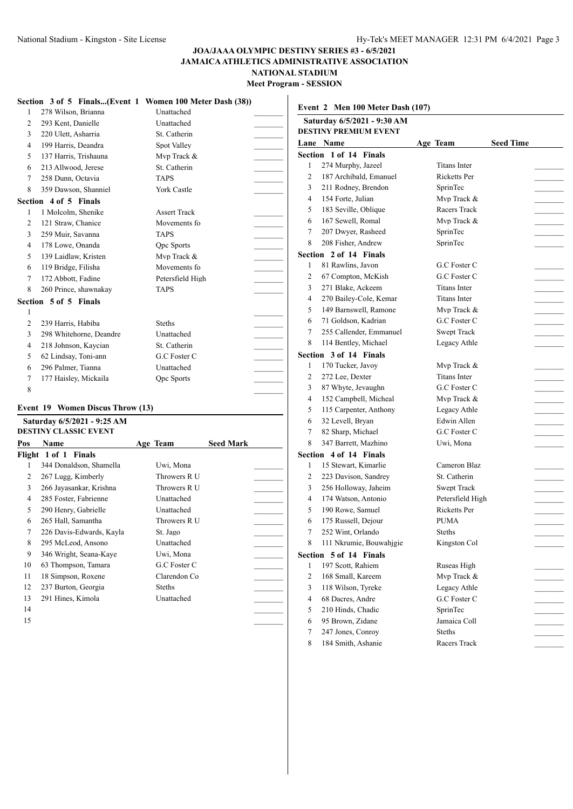|                |                         | Section 3 of 5 Finals(Event 1 Women 100 Meter Dash (38)) |  |
|----------------|-------------------------|----------------------------------------------------------|--|
| 1              | 278 Wilson, Brianna     | Unattached                                               |  |
| 2              | 293 Kent, Danielle      | Unattached                                               |  |
| 3              | 220 Ulett, Asharria     | St. Catherin                                             |  |
| 4              | 199 Harris, Deandra     | Spot Valley                                              |  |
| 5              | 137 Harris, Trishauna   | Mvp Track &                                              |  |
| 6              | 213 Allwood, Jerese     | St. Catherin                                             |  |
| 7              | 258 Dunn, Octavia       | <b>TAPS</b>                                              |  |
| 8              | 359 Dawson, Shanniel    | <b>York Castle</b>                                       |  |
|                | Section 4 of 5 Finals   |                                                          |  |
| $\mathbf{1}$   | 1 Molcolm, Shenike      | <b>Assert Track</b>                                      |  |
| 2              | 121 Straw, Chanice      | Movements fo                                             |  |
| 3              | 259 Muir, Savanna       | <b>TAPS</b>                                              |  |
| $\overline{4}$ | 178 Lowe, Onanda        | <b>Qpc Sports</b>                                        |  |
| 5              | 139 Laidlaw, Kristen    | Mvp Track &                                              |  |
| 6              | 119 Bridge, Filisha     | Movements fo                                             |  |
| 7              | 172 Abbott, Fadine      | Petersfield High                                         |  |
| 8              | 260 Prince, shawnakay   | <b>TAPS</b>                                              |  |
|                | Section 5 of 5 Finals   |                                                          |  |
| 1              |                         |                                                          |  |
| $\overline{c}$ | 239 Harris, Habiba      | <b>Steths</b>                                            |  |
| 3              | 298 Whitehorne, Deandre | <b>Unattached</b>                                        |  |
| $\overline{4}$ | 218 Johnson, Kaycian    | St. Catherin                                             |  |
| 5              | 62 Lindsay, Toni-ann    | G.C Foster C                                             |  |
| 6              | 296 Palmer, Tianna      | Unattached                                               |  |
| 7              | 177 Haisley, Mickaila   | Opc Sports                                               |  |
| 8              |                         |                                                          |  |

#### **Event 19 Women Discus Throw (13)**

|     | Saturday 6/5/2021 - 9:25 AM |               |                  |  |
|-----|-----------------------------|---------------|------------------|--|
|     | DESTINY CLASSIC EVENT       |               |                  |  |
| Pos | <b>Name</b>                 | Age Team      | <b>Seed Mark</b> |  |
|     | Flight 1 of 1 Finals        |               |                  |  |
| 1   | 344 Donaldson, Shamella     | Uwi, Mona     |                  |  |
| 2   | 267 Lugg, Kimberly          | Throwers R U  |                  |  |
| 3   | 266 Jayasankar, Krishna     | Throwers R U  |                  |  |
| 4   | 285 Foster, Fabrienne       | Unattached    |                  |  |
| 5   | 290 Henry, Gabrielle        | Unattached    |                  |  |
| 6   | 265 Hall, Samantha          | Throwers R U  |                  |  |
| 7   | 226 Davis-Edwards, Kayla    | St. Jago      |                  |  |
| 8   | 295 McLeod, Ansono          | Unattached    |                  |  |
| 9   | 346 Wright, Seana-Kaye      | Uwi, Mona     |                  |  |
| 10  | 63 Thompson, Tamara         | G.C Foster C  |                  |  |
| 11  | 18 Simpson, Roxene          | Clarendon Co  |                  |  |
| 12  | 237 Burton, Georgia         | <b>Steths</b> |                  |  |
| 13  | 291 Hines, Kimola           | Unattached    |                  |  |
| 14  |                             |               |                  |  |

# **Event 2 Men 100 Meter Dash (107)**

|                | Saturday 6/5/2021 - 9:30 AM<br><b>DESTINY PREMIUM EVENT</b> |                     |                  |  |
|----------------|-------------------------------------------------------------|---------------------|------------------|--|
|                | Lane Name                                                   | Age Team            | <b>Seed Time</b> |  |
|                | Section 1 of 14 Finals                                      |                     |                  |  |
| 1              | 274 Murphy, Jazeel                                          | <b>Titans Inter</b> |                  |  |
| 2              | 187 Archibald, Emanuel                                      | <b>Ricketts Per</b> |                  |  |
| 3              | 211 Rodney, Brendon                                         | SprinTec            |                  |  |
| $\overline{4}$ | 154 Forte, Julian                                           | Mvp Track &         |                  |  |
| 5              | 183 Seville, Oblique                                        | Racers Track        |                  |  |
| 6              | 167 Sewell, Romal                                           | Mvp Track &         |                  |  |
| 7              | 207 Dwyer, Rasheed                                          | SprinTec            |                  |  |
| 8              | 208 Fisher, Andrew                                          | SprinTec            |                  |  |
|                | Section 2 of 14 Finals                                      |                     |                  |  |
| 1              | 81 Rawlins, Javon                                           | G.C Foster C        |                  |  |
| 2              | 67 Compton, McKish                                          | G.C Foster C        |                  |  |
| 3              | 271 Blake, Ackeem                                           | <b>Titans Inter</b> |                  |  |
| 4              | 270 Bailey-Cole, Kemar                                      | <b>Titans Inter</b> |                  |  |
| 5              | 149 Barnswell, Ramone                                       | Mvp Track &         |                  |  |
| 6              | 71 Goldson, Kadrian                                         | G.C Foster C        |                  |  |
| 7              | 255 Callender, Emmanuel                                     | Swept Track         |                  |  |
| 8              | 114 Bentley, Michael                                        | Legacy Athle        |                  |  |
|                | Section 3 of 14 Finals                                      |                     |                  |  |
| 1              | 170 Tucker, Javoy                                           | Mvp Track &         |                  |  |
| 2              | 272 Lee, Dexter                                             | <b>Titans Inter</b> |                  |  |
| 3              | 87 Whyte, Jevaughn                                          | G.C Foster C        |                  |  |
| 4              | 152 Campbell, Micheal                                       | Mvp Track &         |                  |  |
| 5              | 115 Carpenter, Anthony                                      | Legacy Athle        |                  |  |
| 6              | 32 Levell, Bryan                                            | Edwin Allen         |                  |  |
| 7              | 82 Sharp, Michael                                           | G.C Foster C        |                  |  |
| 8              | 347 Barrett, Mazhino                                        | Uwi, Mona           |                  |  |
|                | Section 4 of 14 Finals                                      |                     |                  |  |
| 1              | 15 Stewart, Kimarlie                                        | Cameron Blaz        |                  |  |
| 2              | 223 Davison, Sandrey                                        | St. Catherin        |                  |  |
| 3              | 256 Holloway, Jaheim                                        | Swept Track         |                  |  |
| 4              | 174 Watson, Antonio                                         | Petersfield High    |                  |  |
| 5              | 190 Rowe, Samuel                                            | Ricketts Per        |                  |  |
| 6              | 175 Russell, Dejour                                         | <b>PUMA</b>         |                  |  |
| 7              | 252 Wint, Orlando                                           | Steths              |                  |  |
| Q.             | 111 Nkrumie, Bouwahjgie                                     | Kingston Col        |                  |  |
|                | Section 5 of 14 Finals                                      |                     |                  |  |
| 1              | 197 Scott, Rahiem                                           | Ruseas High         |                  |  |
| 2              | 168 Small, Kareem                                           | Mvp Track &         |                  |  |
| 3              | 118 Wilson, Tyreke                                          | Legacy Athle        |                  |  |
| 4              | 68 Dacres, Andre                                            | G.C Foster C        |                  |  |
| 5              | 210 Hinds, Chadic                                           | SprinTec            |                  |  |
| 6              | 95 Brown, Zidane                                            | Jamaica Coll        |                  |  |
| 7              | 247 Jones, Conroy                                           | Steths              |                  |  |
| 8              | 184 Smith, Ashanie                                          | Racers Track        |                  |  |
|                |                                                             |                     |                  |  |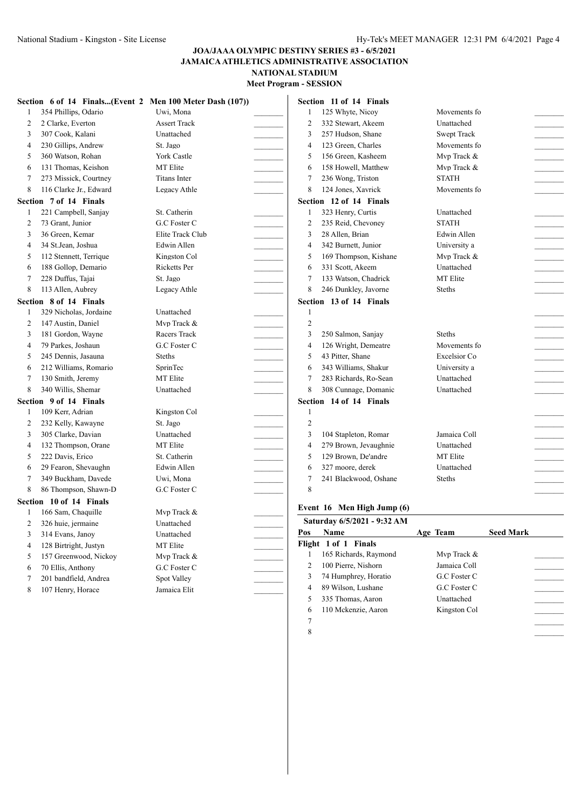|   | Section 6 of 14 Finals(Event 2 Men 100 Meter Dash (107)) |                     |                | Section 11 of 14 Finals     |                              |                  |                   |
|---|----------------------------------------------------------|---------------------|----------------|-----------------------------|------------------------------|------------------|-------------------|
|   | 354 Phillips, Odario                                     | Uwi, Mona           | 1              | 125 Whyte, Nicoy            | Movements fo                 |                  |                   |
| 2 | 2 Clarke, Everton                                        | <b>Assert Track</b> | 2              | 332 Stewart, Akeem          | Unattached                   |                  |                   |
| 3 | 307 Cook, Kalani                                         | Unattached          | 3              | 257 Hudson, Shane           | <b>Swept Track</b>           |                  |                   |
| 4 | 230 Gillips, Andrew                                      | St. Jago            | 4              | 123 Green, Charles          | Movements fo                 |                  |                   |
| 5 | 360 Watson, Rohan                                        | York Castle         | 5              | 156 Green, Kasheem          | Mvp Track &                  |                  |                   |
| 6 | 131 Thomas, Keishon                                      | MT Elite            | 6              | 158 Howell, Matthew         | Mvp Track &                  |                  |                   |
| 7 | 273 Missick, Courtney                                    | <b>Titans Inter</b> | 7              | 236 Wong, Triston           | <b>STATH</b>                 |                  |                   |
| 8 | 116 Clarke Jr., Edward                                   | Legacy Athle        | 8              | 124 Jones, Xavrick          | Movements fo                 |                  |                   |
|   | Section 7 of 14 Finals                                   |                     |                | Section 12 of 14 Finals     |                              |                  |                   |
| 1 | 221 Campbell, Sanjay                                     | St. Catherin        | 1              | 323 Henry, Curtis           | Unattached                   |                  |                   |
| 2 | 73 Grant, Junior                                         | G.C Foster C        | 2              | 235 Reid, Chevoney          | <b>STATH</b>                 |                  |                   |
| 3 | 36 Green, Kemar                                          | Elite Track Club    | 3              | 28 Allen, Brian             | Edwin Allen                  |                  |                   |
| 4 | 34 St.Jean, Joshua                                       | Edwin Allen         | $\overline{4}$ | 342 Burnett, Junior         | University a                 |                  |                   |
| 5 | 112 Stennett, Terrique                                   | Kingston Col        | 5              | 169 Thompson, Kishane       | Mvp Track &                  |                  |                   |
| 6 | 188 Gollop, Demario                                      | Ricketts Per        | 6              | 331 Scott, Akeem            | Unattached                   |                  |                   |
| 7 | 228 Duffus, Tajai                                        | St. Jago            | 7              | 133 Watson, Chadrick        | MT Elite                     |                  |                   |
| 8 | 113 Allen, Aubrey                                        | Legacy Athle        | 8              | 246 Dunkley, Javorne        | Steths                       |                  |                   |
|   | Section 8 of 14 Finals                                   |                     |                | Section 13 of 14 Finals     |                              |                  |                   |
|   | 329 Nicholas, Jordaine                                   | Unattached          | -1             |                             |                              |                  |                   |
| 2 | 147 Austin, Daniel                                       | Mvp Track &         | $\overline{2}$ |                             |                              |                  |                   |
| 3 | 181 Gordon, Wayne                                        | Racers Track        | $\overline{3}$ | 250 Salmon, Sanjay          | Steths                       |                  |                   |
| 4 | 79 Parkes, Joshaun                                       | G.C Foster C        | $\overline{4}$ | 126 Wright, Demeatre        | Movements fo                 |                  | $\sim$ 100 $\sim$ |
| 5 | 245 Dennis, Jasauna                                      | Steths              | 5              | 43 Pitter, Shane            | Excelsior Co                 |                  |                   |
| 6 | 212 Williams, Romario                                    | SprinTec            | 6              | 343 Williams, Shakur        | University a                 |                  |                   |
| 7 | 130 Smith, Jeremy                                        | MT Elite            | 7              | 283 Richards, Ro-Sean       | Unattached                   |                  |                   |
| 8 | 340 Willis, Shemar                                       | Unattached          | 8              | 308 Cunnage, Domanic        | Unattached                   |                  |                   |
|   | Section 9 of 14 Finals                                   |                     |                | Section 14 of 14 Finals     |                              |                  |                   |
|   | 109 Kerr, Adrian                                         | Kingston Col        | $\mathbf{1}$   |                             |                              |                  |                   |
| 2 | 232 Kelly, Kawayne                                       | St. Jago            | $\overline{c}$ |                             |                              |                  |                   |
| 3 | 305 Clarke, Davian                                       | Unattached          | 3              | 104 Stapleton, Romar        | Jamaica Coll                 |                  | $\frac{1}{2}$     |
| 4 | 132 Thompson, Orane                                      | MT Elite            | 4              | 279 Brown, Jevaughnie       | Unattached                   |                  |                   |
| 5 | 222 Davis, Erico                                         | St. Catherin        | 5              | 129 Brown, De'andre         | MT Elite                     |                  |                   |
| 6 | 29 Fearon, Shevaughn                                     | Edwin Allen         | 6              | 327 moore, derek            | Unattached                   |                  |                   |
| 7 | 349 Buckham, Davede                                      | Uwi, Mona           | 7              | 241 Blackwood, Oshane       | <b>Steths</b>                |                  |                   |
| 8 | 86 Thompson, Shawn-D                                     | G.C Foster C        | 8              |                             |                              |                  |                   |
|   | Section 10 of 14 Finals                                  |                     |                |                             |                              |                  |                   |
|   | 166 Sam, Chaquille                                       | Mvp Track &         |                | Event 16 Men High Jump (6)  |                              |                  |                   |
|   | 326 huie, jermaine                                       | Unattached          |                | Saturday 6/5/2021 - 9:32 AM |                              |                  |                   |
| 3 | 314 Evans, Janoy                                         | Unattached          | Pos            | Name                        | Age Team                     | <b>Seed Mark</b> |                   |
| 4 | 128 Birtright, Justyn                                    | MT Elite            |                | Flight 1 of 1 Finals        |                              |                  |                   |
| 5 | 157 Greenwood, Nickoy                                    | Mvp Track &         |                | 165 Richards, Raymond       | Mvp Track &                  |                  |                   |
| 6 | 70 Ellis, Anthony                                        | G.C Foster C        | 2              | 100 Pierre, Nishorn         | Jamaica Coll                 |                  |                   |
| 7 | 201 bandfield, Andrea                                    | Spot Valley         | 3              | 74 Humphrey, Horatio        | ${\rm G.C}$ Foster ${\rm C}$ |                  |                   |
| 8 | 107 Henry, Horace                                        | Jamaica Elit        | 4              | 89 Wilson, Lushane          | G.C Foster C                 |                  |                   |
|   |                                                          |                     | 5              | 335 Thomas, Aaron           | Unattached                   |                  |                   |

110 Mckenzie, Aaron Kingston Col \_\_\_\_\_\_\_\_\_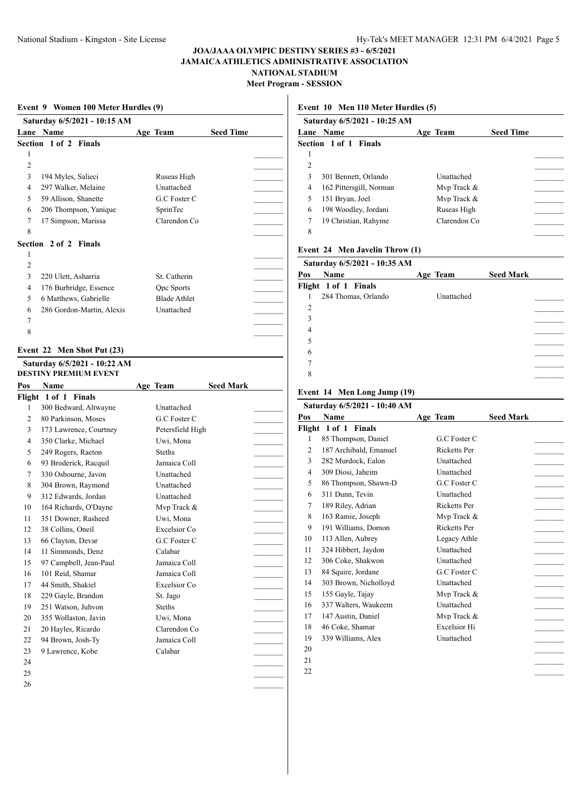**Meet Program - SESSION**

|                | Saturday 6/5/2021 - 10:15 AM               |                              |                  |
|----------------|--------------------------------------------|------------------------------|------------------|
|                | Lane Name                                  | Age Team                     | <b>Seed Time</b> |
|                | Section 1 of 2<br>Finals                   |                              |                  |
| 1              |                                            |                              |                  |
| 2              |                                            |                              |                  |
| 3              | 194 Myles, Salieci                         | Ruseas High                  |                  |
| 4              | 297 Walker, Melaine                        | Unattached                   |                  |
| 5              | 59 Allison, Shanette                       | G.C Foster C                 |                  |
| 6              | 206 Thompson, Yanique                      | SprinTec                     |                  |
| 7              | 17 Simpson, Marissa                        | Clarendon Co                 |                  |
| 8              |                                            |                              |                  |
|                | Section 2 of 2 Finals                      |                              |                  |
| 1              |                                            |                              |                  |
| $\overline{c}$ |                                            |                              |                  |
| 3              | 220 Ulett, Asharria                        | St. Catherin                 |                  |
| 4              | 176 Burbridge, Essence                     | <b>Qpc Sports</b>            |                  |
| 5              | 6 Matthews, Gabrielle                      | <b>Blade Athlet</b>          |                  |
| 6              | 286 Gordon-Martin, Alexis                  | Unattached                   |                  |
| 7              |                                            |                              |                  |
| 8              |                                            |                              |                  |
|                |                                            |                              |                  |
|                | Event 22 Men Shot Put (23)                 |                              |                  |
|                | Saturday 6/5/2021 - 10:22 AM               |                              |                  |
|                | <b>DESTINY PREMIUM EVENT</b>               |                              |                  |
| Pos            | <b>Name</b>                                | Age Team                     | <b>Seed Mark</b> |
|                | Flight 1 of 1 Finals                       |                              |                  |
| 1              | 300 Bedward, Altwayne                      | Unattached                   |                  |
| 2              | 80 Parkinson, Moses                        | G.C Foster C                 |                  |
| 3              | 173 Lawrence, Courtney                     | Petersfield High             |                  |
| 4              | 350 Clarke, Michael                        | Uwi, Mona                    |                  |
| 5              | 249 Rogers, Raeton                         | <b>Steths</b>                |                  |
| 6              | 93 Broderick, Racquil                      | Jamaica Coll                 |                  |
| 7              | 330 Osbourne, Javon                        | Unattached                   |                  |
| 8              | 304 Brown, Raymond                         | Unattached                   |                  |
| 9              | 312 Edwards, Jordan                        | Unattached                   |                  |
| 10             | 164 Richards, O'Dayne                      | Mvp Track &                  |                  |
| 11             | 351 Downer, Rasheed                        | Uwi, Mona                    |                  |
| 12             | 38 Collins, Oneil                          | Excelsior Co                 |                  |
| 13             | 66 Clayton, Devar                          | G.C Foster C                 |                  |
| 14             | 11 Simmonds, Denz                          | Calabar                      |                  |
| 15             | 97 Campbell, Jean-Paul<br>101 Reid, Shamar | Jamaica Coll                 |                  |
|                |                                            | Jamaica Coll<br>Excelsior Co |                  |
| 16             |                                            |                              |                  |
| 17             | 44 Smith, Shakiel                          |                              |                  |
| 18             | 229 Gayle, Brandon                         | St. Jago                     |                  |
| 19             | 251 Watson, Juhvon                         | <b>Steths</b>                |                  |
| 20             | 355 Wollaston, Javin                       | Uwi, Mona                    |                  |
| 21             | 20 Hayles, Ricardo                         | Clarendon Co                 |                  |
| 22             | 94 Brown, Josh-Ty                          | Jamaica Coll                 |                  |
| 23             | 9 Lawrence, Kobe                           | Calabar                      |                  |
| 24             |                                            |                              |                  |
| 25<br>26       |                                            |                              |                  |

# **Event 10 Men 110 Meter Hurdles (5)**

| Saturday 6/5/2021 - 10:25 AM |              |                  |  |
|------------------------------|--------------|------------------|--|
| <b>Lane Name</b>             |              | <b>Seed Time</b> |  |
| <b>Section 1 of 1 Finals</b> |              |                  |  |
|                              |              |                  |  |
|                              |              |                  |  |
| 301 Bennett, Orlando         | Unattached   |                  |  |
| 162 Pittersgill, Norman      | Mvp Track &  |                  |  |
| 151 Bryan, Joel              | Mvp Track &  |                  |  |
| 198 Woodley, Jordani         | Ruseas High  |                  |  |
| 19 Christian, Rahyme         | Clarendon Co |                  |  |
|                              |              |                  |  |
|                              |              | Age Team         |  |

## **Event 24 Men Javelin Throw (1)**

|                | Saturday 6/5/2021 - 10:35 AM |            |                  |
|----------------|------------------------------|------------|------------------|
| Pos            | <b>Name</b>                  | Age Team   | <b>Seed Mark</b> |
|                | Flight 1 of 1 Finals         |            |                  |
| 1              | 284 Thomas, Orlando          | Unattached |                  |
| $\overline{2}$ |                              |            |                  |
| 3              |                              |            |                  |
| 4              |                              |            |                  |
| 5              |                              |            |                  |
| 6              |                              |            |                  |
| 7              |                              |            |                  |
| 8              |                              |            |                  |
|                |                              |            |                  |

### **Event 14 Men Long Jump (19)**

| Saturday 6/5/2021 - 10:40 AM |                        |                     |                  |  |  |  |  |
|------------------------------|------------------------|---------------------|------------------|--|--|--|--|
| Pos                          | Name                   | Age Team            | <b>Seed Mark</b> |  |  |  |  |
|                              | Flight 1 of 1 Finals   |                     |                  |  |  |  |  |
| 1                            | 85 Thompson, Daniel    | G.C. Foster C.      |                  |  |  |  |  |
| $\overline{c}$               | 187 Archibald, Emanuel | <b>Ricketts Per</b> |                  |  |  |  |  |
| 3                            | 282 Murdock, Ealon     | Unattached          |                  |  |  |  |  |
| $\overline{4}$               | 309 Diosi, Jaheim      | Unattached          |                  |  |  |  |  |
| 5                            | 86 Thompson, Shawn-D   | G.C Foster C        |                  |  |  |  |  |
| 6                            | 311 Dunn, Tevin        | Unattached          |                  |  |  |  |  |
| 7                            | 189 Riley, Adrian      | <b>Ricketts Per</b> |                  |  |  |  |  |
| 8                            | 163 Ramie, Joseph      | Mvp Track &         |                  |  |  |  |  |
| 9                            | 191 Williams, Domon    | <b>Ricketts Per</b> |                  |  |  |  |  |
| 10                           | 113 Allen, Aubrey      | Legacy Athle        |                  |  |  |  |  |
| 11                           | 324 Hibbert, Jaydon    | <b>Unattached</b>   |                  |  |  |  |  |
| 12                           | 306 Coke, Shakwon      | Unattached          |                  |  |  |  |  |
| 13                           | 84 Squire, Jordane     | G.C Foster C        |                  |  |  |  |  |
| 14                           | 303 Brown, Nicholloyd  | Unattached          |                  |  |  |  |  |
| 15                           | 155 Gayle, Tajay       | Mvp Track &         |                  |  |  |  |  |
| 16                           | 337 Walters, Waukeem   | Unattached          |                  |  |  |  |  |
| 17                           | 147 Austin, Daniel     | Mvp Track &         |                  |  |  |  |  |
| 18                           | 46 Coke, Shamar        | <b>Excelsior Hi</b> |                  |  |  |  |  |
| 19                           | 339 Williams, Alex     | Unattached          |                  |  |  |  |  |
| 20                           |                        |                     |                  |  |  |  |  |
| 21                           |                        |                     |                  |  |  |  |  |

\_\_\_\_\_\_\_\_\_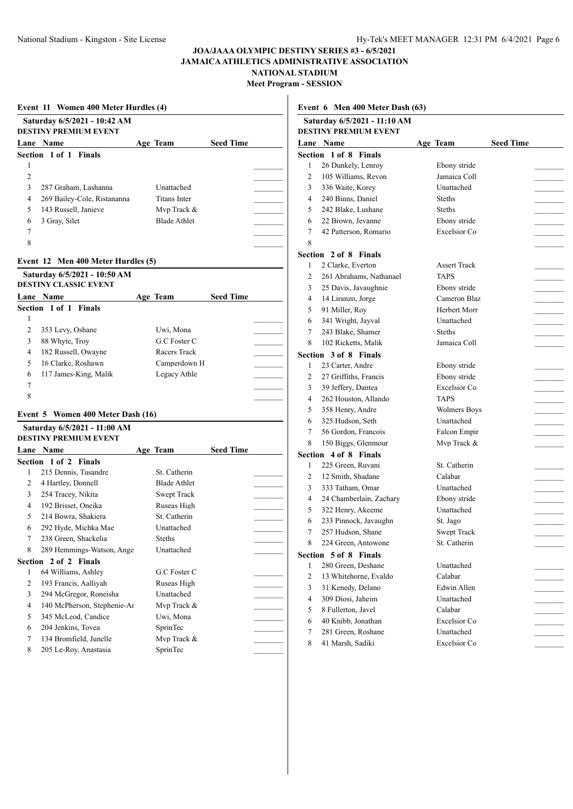**Meet Program - SESSION**

|                | Event 11 Women 400 Meter Hurdles (4) |  |                     |                  |  |  |  |
|----------------|--------------------------------------|--|---------------------|------------------|--|--|--|
|                | Saturday 6/5/2021 - 10:42 AM         |  |                     |                  |  |  |  |
|                | <b>DESTINY PREMIUM EVENT</b>         |  |                     |                  |  |  |  |
|                | Lane Name                            |  | Age Team            | <b>Seed Time</b> |  |  |  |
|                | Section 1 of 1 Finals                |  |                     |                  |  |  |  |
| 1              |                                      |  |                     |                  |  |  |  |
| 2              |                                      |  |                     |                  |  |  |  |
| 3              | 287 Graham, Lashanna                 |  | Unattached          |                  |  |  |  |
| 4              | 269 Bailey-Cole, Ristananna          |  | <b>Titans Inter</b> |                  |  |  |  |
| 5              | 143 Russell, Janieve                 |  | Mvp Track &         |                  |  |  |  |
| 6              | 3 Gray, Silet                        |  | <b>Blade Athlet</b> |                  |  |  |  |
| 7              |                                      |  |                     |                  |  |  |  |
| 8              |                                      |  |                     |                  |  |  |  |
|                | Event 12 Men 400 Meter Hurdles (5)   |  |                     |                  |  |  |  |
|                | Saturday 6/5/2021 - 10:50 AM         |  |                     |                  |  |  |  |
|                | <b>DESTINY CLASSIC EVENT</b>         |  |                     |                  |  |  |  |
|                | Lane Name                            |  | Age Team            | <b>Seed Time</b> |  |  |  |
|                | Section 1 of 1 Finals                |  |                     |                  |  |  |  |
| 1              |                                      |  |                     |                  |  |  |  |
| 2              | 353 Levy, Oshane                     |  | Uwi, Mona           |                  |  |  |  |
| 3              | 88 Whyte, Troy                       |  | G.C Foster C        |                  |  |  |  |
| 4              | 182 Russell, Owayne                  |  | Racers Track        |                  |  |  |  |
| 5              | 16 Clarke, Roshawn                   |  | Camperdown H        |                  |  |  |  |
| 6              | 117 James-King, Malik                |  | Legacy Athle        |                  |  |  |  |
| 7              |                                      |  |                     |                  |  |  |  |
| 8              |                                      |  |                     |                  |  |  |  |
|                | Event 5 Women 400 Meter Dash (16)    |  |                     |                  |  |  |  |
|                | Saturday 6/5/2021 - 11:00 AM         |  |                     |                  |  |  |  |
|                | <b>DESTINY PREMIUM EVENT</b>         |  |                     |                  |  |  |  |
|                | Lane Name                            |  | Age Team            | <b>Seed Time</b> |  |  |  |
|                | Section 1 of 2 Finals                |  |                     |                  |  |  |  |
| 1              | 215 Dennis, Tusandre                 |  | St. Catherin        |                  |  |  |  |
| 2              | 4 Hartley, Donnell                   |  | Blade Athlet        |                  |  |  |  |
| 3              | 254 Tracey, Nikita                   |  | Swept Track         |                  |  |  |  |
| 4              | 192 Brisset, Oneika                  |  | Ruseas High         |                  |  |  |  |
| 5              | 214 Bowra, Shakiera                  |  | St. Catherin        |                  |  |  |  |
| 6              | 292 Hyde, Michka Mae                 |  | Unattached          |                  |  |  |  |
| 7              | 238 Green, Shackelia                 |  | Steths              |                  |  |  |  |
| 8              | 289 Hemmings-Watson, Ange            |  | Unattached          |                  |  |  |  |
|                | Section 2 of 2 Finals                |  |                     |                  |  |  |  |
| 1              | 64 Williams, Ashley                  |  | G.C Foster C        |                  |  |  |  |
| $\overline{c}$ | 193 Francis, Aalliyah                |  | Ruseas High         |                  |  |  |  |
| 3              | 294 McGregor, Roneisha               |  | Unattached          |                  |  |  |  |
| 4              | 140 McPherson, Stephenie-Ar          |  | Mvp Track &         |                  |  |  |  |
| 5              | 345 McLeod, Candice                  |  | Uwi, Mona           |                  |  |  |  |
| 6              | 204 Jenkins, Tovea                   |  | SprinTec            |                  |  |  |  |
| 7              | 134 Bromfield, Junelle               |  | Mvp Track &         |                  |  |  |  |
| 8              | 205 Le-Roy, Anastasia                |  | SprinTec            |                  |  |  |  |

**Event 6 Men 400 Meter Dash (63)**

| Section 1 of 8 Finals                    | Age Team                                                                                                                                                                                                                                                                                                                                                                                                                                          | <b>Seed Time</b>                                                                                                                                                                                                                    |
|------------------------------------------|---------------------------------------------------------------------------------------------------------------------------------------------------------------------------------------------------------------------------------------------------------------------------------------------------------------------------------------------------------------------------------------------------------------------------------------------------|-------------------------------------------------------------------------------------------------------------------------------------------------------------------------------------------------------------------------------------|
|                                          |                                                                                                                                                                                                                                                                                                                                                                                                                                                   |                                                                                                                                                                                                                                     |
| 26 Dunkely, Lenroy                       | Ebony stride                                                                                                                                                                                                                                                                                                                                                                                                                                      |                                                                                                                                                                                                                                     |
| 105 Williams, Revon                      | Jamaica Coll                                                                                                                                                                                                                                                                                                                                                                                                                                      |                                                                                                                                                                                                                                     |
| 336 Waite, Korey                         | Unattached                                                                                                                                                                                                                                                                                                                                                                                                                                        |                                                                                                                                                                                                                                     |
| 240 Binns, Daniel                        | <b>Steths</b>                                                                                                                                                                                                                                                                                                                                                                                                                                     |                                                                                                                                                                                                                                     |
| 242 Blake, Lushane                       | <b>Steths</b>                                                                                                                                                                                                                                                                                                                                                                                                                                     |                                                                                                                                                                                                                                     |
| 22 Brown, Jevanne                        | Ebony stride                                                                                                                                                                                                                                                                                                                                                                                                                                      |                                                                                                                                                                                                                                     |
| 42 Patterson, Romario                    | Excelsior Co                                                                                                                                                                                                                                                                                                                                                                                                                                      |                                                                                                                                                                                                                                     |
|                                          |                                                                                                                                                                                                                                                                                                                                                                                                                                                   |                                                                                                                                                                                                                                     |
|                                          |                                                                                                                                                                                                                                                                                                                                                                                                                                                   |                                                                                                                                                                                                                                     |
| 2 Clarke, Everton                        | <b>Assert Track</b>                                                                                                                                                                                                                                                                                                                                                                                                                               |                                                                                                                                                                                                                                     |
| 261 Abrahams, Nathanael                  | <b>TAPS</b>                                                                                                                                                                                                                                                                                                                                                                                                                                       |                                                                                                                                                                                                                                     |
| 25 Davis, Javaughnie                     | Ebony stride                                                                                                                                                                                                                                                                                                                                                                                                                                      |                                                                                                                                                                                                                                     |
| 14 Liranzo, Jorge                        | Cameron Blaz                                                                                                                                                                                                                                                                                                                                                                                                                                      |                                                                                                                                                                                                                                     |
| 91 Miller, Roy                           | Herbert Morr                                                                                                                                                                                                                                                                                                                                                                                                                                      |                                                                                                                                                                                                                                     |
| 341 Wright, Jayval                       | Unattached                                                                                                                                                                                                                                                                                                                                                                                                                                        |                                                                                                                                                                                                                                     |
| 243 Blake, Shamer                        | <b>Steths</b>                                                                                                                                                                                                                                                                                                                                                                                                                                     |                                                                                                                                                                                                                                     |
| 102 Ricketts, Malik                      | Jamaica Coll                                                                                                                                                                                                                                                                                                                                                                                                                                      |                                                                                                                                                                                                                                     |
|                                          |                                                                                                                                                                                                                                                                                                                                                                                                                                                   |                                                                                                                                                                                                                                     |
| 23 Carter, Andre                         |                                                                                                                                                                                                                                                                                                                                                                                                                                                   |                                                                                                                                                                                                                                     |
| 27 Griffiths, Francis                    | Ebony stride                                                                                                                                                                                                                                                                                                                                                                                                                                      |                                                                                                                                                                                                                                     |
| 39 Jeffery, Dantea                       | Excelsior Co                                                                                                                                                                                                                                                                                                                                                                                                                                      |                                                                                                                                                                                                                                     |
|                                          | <b>TAPS</b>                                                                                                                                                                                                                                                                                                                                                                                                                                       |                                                                                                                                                                                                                                     |
|                                          |                                                                                                                                                                                                                                                                                                                                                                                                                                                   |                                                                                                                                                                                                                                     |
| 325 Hudson, Seth                         | Unattached                                                                                                                                                                                                                                                                                                                                                                                                                                        |                                                                                                                                                                                                                                     |
|                                          |                                                                                                                                                                                                                                                                                                                                                                                                                                                   |                                                                                                                                                                                                                                     |
|                                          |                                                                                                                                                                                                                                                                                                                                                                                                                                                   |                                                                                                                                                                                                                                     |
|                                          |                                                                                                                                                                                                                                                                                                                                                                                                                                                   |                                                                                                                                                                                                                                     |
|                                          |                                                                                                                                                                                                                                                                                                                                                                                                                                                   |                                                                                                                                                                                                                                     |
|                                          |                                                                                                                                                                                                                                                                                                                                                                                                                                                   |                                                                                                                                                                                                                                     |
|                                          |                                                                                                                                                                                                                                                                                                                                                                                                                                                   |                                                                                                                                                                                                                                     |
|                                          |                                                                                                                                                                                                                                                                                                                                                                                                                                                   |                                                                                                                                                                                                                                     |
|                                          |                                                                                                                                                                                                                                                                                                                                                                                                                                                   |                                                                                                                                                                                                                                     |
|                                          |                                                                                                                                                                                                                                                                                                                                                                                                                                                   |                                                                                                                                                                                                                                     |
|                                          |                                                                                                                                                                                                                                                                                                                                                                                                                                                   |                                                                                                                                                                                                                                     |
|                                          |                                                                                                                                                                                                                                                                                                                                                                                                                                                   |                                                                                                                                                                                                                                     |
|                                          |                                                                                                                                                                                                                                                                                                                                                                                                                                                   |                                                                                                                                                                                                                                     |
|                                          |                                                                                                                                                                                                                                                                                                                                                                                                                                                   |                                                                                                                                                                                                                                     |
|                                          |                                                                                                                                                                                                                                                                                                                                                                                                                                                   |                                                                                                                                                                                                                                     |
|                                          |                                                                                                                                                                                                                                                                                                                                                                                                                                                   |                                                                                                                                                                                                                                     |
| 309 Diosi, Jaheim                        | Unattached                                                                                                                                                                                                                                                                                                                                                                                                                                        |                                                                                                                                                                                                                                     |
|                                          |                                                                                                                                                                                                                                                                                                                                                                                                                                                   |                                                                                                                                                                                                                                     |
|                                          |                                                                                                                                                                                                                                                                                                                                                                                                                                                   |                                                                                                                                                                                                                                     |
| 8 Fullerton, Javel                       | Calabar                                                                                                                                                                                                                                                                                                                                                                                                                                           |                                                                                                                                                                                                                                     |
| 40 Knibb, Jonathan<br>281 Green, Roshane | Excelsior Co.<br>Unattached                                                                                                                                                                                                                                                                                                                                                                                                                       |                                                                                                                                                                                                                                     |
|                                          | Section 2 of 8 Finals<br>Section 3 of 8 Finals<br>262 Houston, Allando<br>358 Henry, Andre<br>56 Gordon, Francois<br>150 Biggs, Glenmour<br>Section 4 of 8 Finals<br>225 Green, Ruvani<br>12 Smith, Shadane<br>333 Tatham, Omar<br>24 Chamberlain, Zachary<br>322 Henry, Akeeme<br>233 Pinnock, Javaughn<br>257 Hudson, Shane<br>224 Green, Antowone<br>Section 5 of 8 Finals<br>280 Green, Deshane<br>13 Whitehorne, Evaldo<br>31 Kenedy, Delano | Ebony stride<br><b>Wolmers Boys</b><br>Falcon Empir<br>Mvp Track &<br>St. Catherin<br>Calabar<br>Unattached<br>Ebony stride<br>Unattached<br>St. Jago<br><b>Swept Track</b><br>St. Catherin<br>Unattached<br>Calabar<br>Edwin Allen |